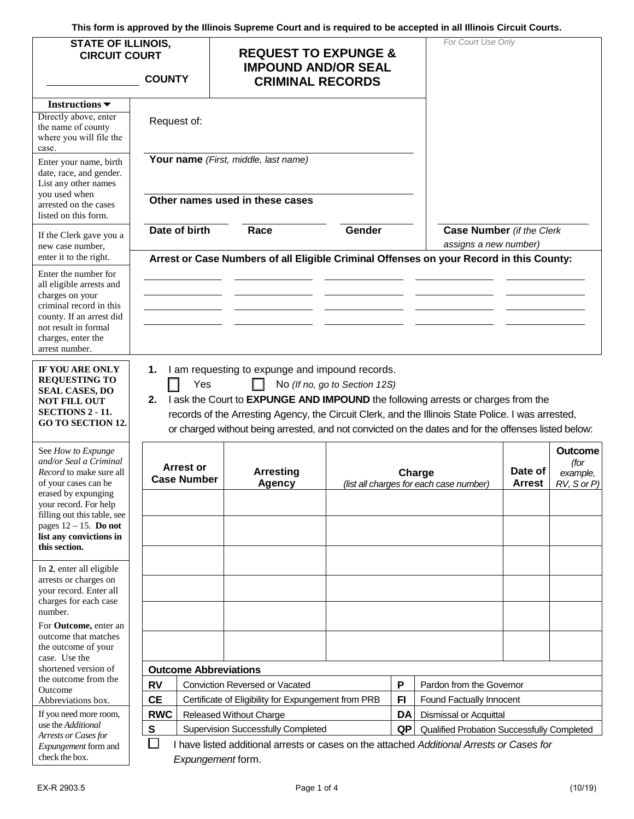**This form is approved by the Illinois Supreme Court and is required to be accepted in all Illinois Circuit Courts.** 

| <b>STATE OF ILLINOIS,</b><br><b>CIRCUIT COURT</b><br><b>COUNTY</b>                                                                                                                         |                                                                                                                  | <b>REQUEST TO EXPUNGE &amp;</b><br><b>IMPOUND AND/OR SEAL</b><br><b>CRIMINAL RECORDS</b> |                                                                                                                                                                                                                                                                                                                                                   |                               |                          | For Court Use Only                                |                          |                                                   |  |
|--------------------------------------------------------------------------------------------------------------------------------------------------------------------------------------------|------------------------------------------------------------------------------------------------------------------|------------------------------------------------------------------------------------------|---------------------------------------------------------------------------------------------------------------------------------------------------------------------------------------------------------------------------------------------------------------------------------------------------------------------------------------------------|-------------------------------|--------------------------|---------------------------------------------------|--------------------------|---------------------------------------------------|--|
| Instructions $\blacktriangledown$<br>Directly above, enter<br>the name of county<br>where you will file the<br>case.                                                                       | Request of:                                                                                                      |                                                                                          |                                                                                                                                                                                                                                                                                                                                                   |                               |                          |                                                   |                          |                                                   |  |
| Enter your name, birth<br>date, race, and gender.<br>List any other names<br>you used when<br>arrested on the cases                                                                        |                                                                                                                  | Your name (First, middle, last name)<br>Other names used in these cases                  |                                                                                                                                                                                                                                                                                                                                                   |                               |                          |                                                   |                          |                                                   |  |
| listed on this form.<br>If the Clerk gave you a                                                                                                                                            |                                                                                                                  | Date of birth                                                                            | Race                                                                                                                                                                                                                                                                                                                                              | Gender                        |                          | <b>Case Number</b> (if the Clerk                  |                          |                                                   |  |
| new case number.<br>enter it to the right.                                                                                                                                                 | assigns a new number)<br>Arrest or Case Numbers of all Eligible Criminal Offenses on your Record in this County: |                                                                                          |                                                                                                                                                                                                                                                                                                                                                   |                               |                          |                                                   |                          |                                                   |  |
| Enter the number for<br>all eligible arrests and<br>charges on your<br>criminal record in this<br>county. If an arrest did<br>not result in formal<br>charges, enter the<br>arrest number. |                                                                                                                  |                                                                                          |                                                                                                                                                                                                                                                                                                                                                   |                               |                          |                                                   |                          |                                                   |  |
| IF YOU ARE ONLY<br><b>REQUESTING TO</b><br><b>SEAL CASES, DO</b><br><b>NOT FILL OUT</b><br>SECTIONS 2 - 11.<br><b>GO TO SECTION 12.</b>                                                    | 1.<br>2.                                                                                                         | Yes                                                                                      | I am requesting to expunge and impound records.<br>I ask the Court to EXPUNGE AND IMPOUND the following arrests or charges from the<br>records of the Arresting Agency, the Circuit Clerk, and the Illinois State Police. I was arrested,<br>or charged without being arrested, and not convicted on the dates and for the offenses listed below: | No (If no, go to Section 12S) |                          |                                                   |                          |                                                   |  |
| See How to Expunge<br>and/or Seal a Criminal<br>Record to make sure all<br>of your cases can be<br>erased by expunging<br>your record. For help                                            |                                                                                                                  | <b>Arrest or</b><br><b>Case Number</b>                                                   | <b>Arresting</b><br><b>Agency</b>                                                                                                                                                                                                                                                                                                                 |                               |                          | Charge<br>(list all charges for each case number) | Date of<br><b>Arrest</b> | <b>Outcome</b><br>(for<br>example,<br>RV, S or P) |  |
| filling out this table, see<br>pages $12 - 15$ . Do not<br>list any convictions in<br>this section.                                                                                        |                                                                                                                  |                                                                                          |                                                                                                                                                                                                                                                                                                                                                   |                               |                          |                                                   |                          |                                                   |  |
| In 2, enter all eligible<br>arrests or charges on<br>your record. Enter all<br>charges for each case<br>number.                                                                            |                                                                                                                  |                                                                                          |                                                                                                                                                                                                                                                                                                                                                   |                               |                          |                                                   |                          |                                                   |  |
| For Outcome, enter an<br>outcome that matches<br>the outcome of your                                                                                                                       |                                                                                                                  |                                                                                          |                                                                                                                                                                                                                                                                                                                                                   |                               |                          |                                                   |                          |                                                   |  |
| case. Use the<br>shortened version of                                                                                                                                                      |                                                                                                                  |                                                                                          | <b>Outcome Abbreviations</b>                                                                                                                                                                                                                                                                                                                      |                               |                          |                                                   |                          |                                                   |  |
| the outcome from the<br>Outcome                                                                                                                                                            | <b>RV</b>                                                                                                        | P<br><b>Conviction Reversed or Vacated</b>                                               |                                                                                                                                                                                                                                                                                                                                                   |                               |                          | Pardon from the Governor                          |                          |                                                   |  |
| Abbreviations box.                                                                                                                                                                         | <b>CE</b>                                                                                                        | F <sub>1</sub><br>Certificate of Eligibility for Expungement from PRB                    |                                                                                                                                                                                                                                                                                                                                                   |                               | Found Factually Innocent |                                                   |                          |                                                   |  |
| If you need more room,                                                                                                                                                                     | <b>RWC</b>                                                                                                       |                                                                                          | Released Without Charge                                                                                                                                                                                                                                                                                                                           |                               | <b>DA</b>                | Dismissal or Acquittal                            |                          |                                                   |  |
| use the Additional<br>Arrests or Cases for                                                                                                                                                 | ${\bf S}$                                                                                                        | <b>Supervision Successfully Completed</b>                                                |                                                                                                                                                                                                                                                                                                                                                   |                               | QP                       | Qualified Probation Successfully Completed        |                          |                                                   |  |
| Expungement form and<br>check the box.                                                                                                                                                     | П                                                                                                                |                                                                                          | I have listed additional arrests or cases on the attached Additional Arrests or Cases for<br>Expungement form.                                                                                                                                                                                                                                    |                               |                          |                                                   |                          |                                                   |  |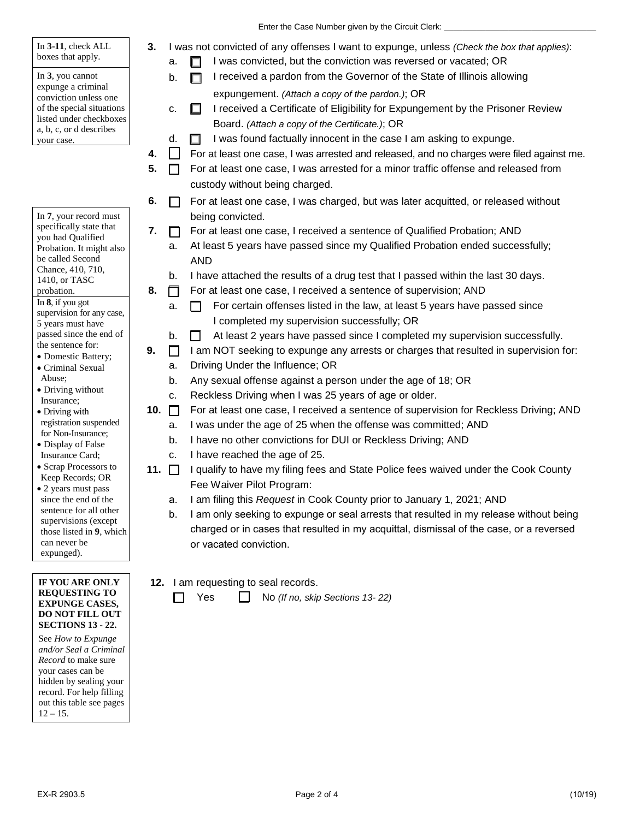**3.** I was not convicted of any offenses I want to expunge, unless *(Check the box that applies)*:

|  |  |  |  | $a.$ $\Box$ I was convicted, but the conviction was reversed or vacated; OR |
|--|--|--|--|-----------------------------------------------------------------------------|
|--|--|--|--|-----------------------------------------------------------------------------|

- $b.$   $\Box$  I received a pardon from the Governor of the State of Illinois allowing expungement. *(Attach a copy of the pardon.)*; OR
- c.  $\Box$  I received a Certificate of Eligibility for Expungement by the Prisoner Review Board. *(Attach a copy of the Certificate.)*; OR
- d.  $\Box$  I was found factually innocent in the case I am asking to expunge.
- **4. For at least one case, I was arrested and released, and no charges were filed against me.**
- **5.**  $\Box$  For at least one case, I was arrested for a minor traffic offense and released from custody without being charged.
- **6.**  $\Box$  For at least one case, I was charged, but was later acquitted, or released without being convicted.
- **7.**  $\Box$  For at least one case, I received a sentence of Qualified Probation; AND
	- a. At least 5 years have passed since my Qualified Probation ended successfully; AND
	- b. I have attached the results of a drug test that I passed within the last 30 days.
- **8.**  $\Box$  For at least one case, I received a sentence of supervision; AND
	- a.  $\Box$  For certain offenses listed in the law, at least 5 years have passed since I completed my supervision successfully; OR
	- $b.$   $\Box$  At least 2 years have passed since I completed my supervision successfully.
- **9. I** I am NOT seeking to expunge any arrests or charges that resulted in supervision for:
	- a. Driving Under the Influence; OR
	- b. Any sexual offense against a person under the age of 18; OR
	- c. Reckless Driving when I was 25 years of age or older.
- 10.  $\Box$  For at least one case, I received a sentence of supervision for Reckless Driving; AND
	- a. I was under the age of 25 when the offense was committed; AND
	- b. I have no other convictions for DUI or Reckless Driving; AND
	- c. I have reached the age of 25.
- Fee Waiver Pilot Program: **11.**  $\Box$  I qualify to have my filing fees and State Police fees waived under the Cook County
	- a. I am filing this *Request* in Cook County prior to January 1, 2021; AND
	- b. I am only seeking to expunge or seal arrests that resulted in my release without being charged or in cases that resulted in my acquittal, dismissal of the case, or a reversed or vacated conviction.
- **12.** I am requesting to seal records.

Yes No *(If no, skip Sections 13- 22)* 

```
 
SECTIONS 13 - 22. 
IF YOU ARE ONLY 
REQUESTING TO 
EXPUNGE CASES, 
DO NOT FILL OUT
```
can never be expunged).

a, b, c, or d describes

In **7**, your record must specifically state that you had Qualified Probation. It might also be called Second Chance, 410, 710,

your case.

In **3-11**, check ALL boxes that apply. In **3**, you cannot expunge a criminal conviction unless one of the special situations listed under checkboxes

1410, or TASC

 In **8**, if you got supervision for any case,

5 years must have passed since the end of the sentence for: • Domestic Battery; • Criminal Sexual

• Driving without Insurance; • Driving with registration suspended for Non-Insurance; • Display of False Insurance Card; • Scrap Processors to Keep Records; OR • 2 years must pass since the end of the sentence for all other supervisions (except those listed in **9**, which

probation.

Abuse;

 See *How to Expunge*  hidden by sealing your  $12 - 15$ . *and/or Seal a Criminal Record* to make sure your cases can be record. For help filling out this table see pages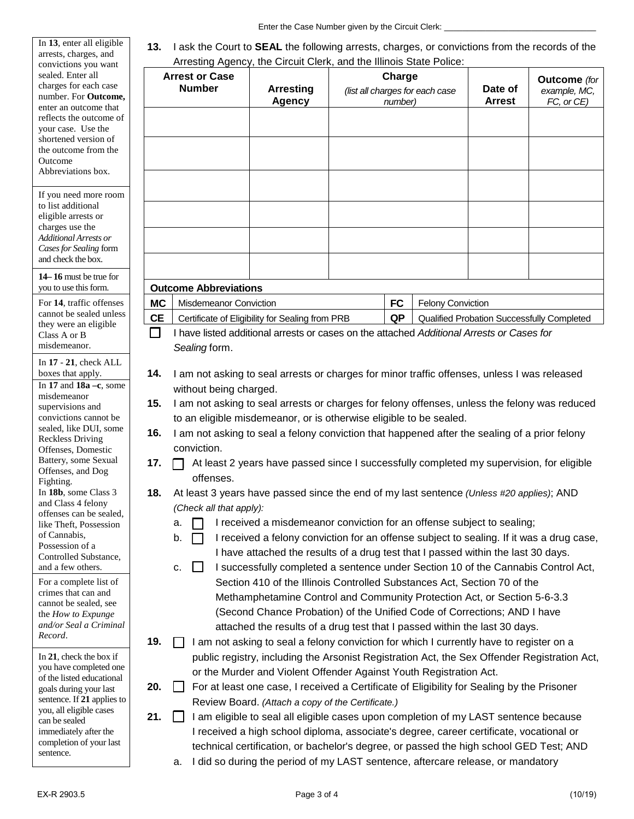Enter the Case Number given by the Circuit Clerk: \_\_\_\_\_\_\_\_\_\_\_\_\_\_\_\_\_\_\_\_\_\_\_\_\_\_\_\_\_\_

| In 13, enter all eligible<br>arrests, charges, and<br>convictions you want                                                                                                                     | 13.<br>I ask the Court to <b>SEAL</b> the following arrests, charges, or convictions from the records of the<br>Arresting Agency, the Circuit Clerk, and the Illinois State Police: |                                                                                                                                                                                                                                                                                                                                                                                |                                                                                                                                                                                                                                                                                                                                                                                                           |                                                      |           |                                            |                          |                                                   |  |
|------------------------------------------------------------------------------------------------------------------------------------------------------------------------------------------------|-------------------------------------------------------------------------------------------------------------------------------------------------------------------------------------|--------------------------------------------------------------------------------------------------------------------------------------------------------------------------------------------------------------------------------------------------------------------------------------------------------------------------------------------------------------------------------|-----------------------------------------------------------------------------------------------------------------------------------------------------------------------------------------------------------------------------------------------------------------------------------------------------------------------------------------------------------------------------------------------------------|------------------------------------------------------|-----------|--------------------------------------------|--------------------------|---------------------------------------------------|--|
| sealed. Enter all<br>charges for each case<br>number. For Outcome,<br>enter an outcome that                                                                                                    | <b>Arrest or Case</b><br><b>Number</b>                                                                                                                                              |                                                                                                                                                                                                                                                                                                                                                                                | <b>Arresting</b><br><b>Agency</b>                                                                                                                                                                                                                                                                                                                                                                         | Charge<br>(list all charges for each case<br>number) |           |                                            | Date of<br><b>Arrest</b> | <b>Outcome</b> (for<br>example, MC,<br>FC, or CE) |  |
| reflects the outcome of<br>your case. Use the<br>shortened version of<br>the outcome from the<br>Outcome<br>Abbreviations box.                                                                 |                                                                                                                                                                                     |                                                                                                                                                                                                                                                                                                                                                                                |                                                                                                                                                                                                                                                                                                                                                                                                           |                                                      |           |                                            |                          |                                                   |  |
| If you need more room<br>to list additional<br>eligible arrests or<br>charges use the<br><b>Additional Arrests or</b><br>Cases for Sealing form<br>and check the box.                          |                                                                                                                                                                                     |                                                                                                                                                                                                                                                                                                                                                                                |                                                                                                                                                                                                                                                                                                                                                                                                           |                                                      |           |                                            |                          |                                                   |  |
| 14–16 must be true for<br>you to use this form.                                                                                                                                                |                                                                                                                                                                                     | <b>Outcome Abbreviations</b>                                                                                                                                                                                                                                                                                                                                                   |                                                                                                                                                                                                                                                                                                                                                                                                           |                                                      |           |                                            |                          |                                                   |  |
| For 14, traffic offenses                                                                                                                                                                       | <b>MC</b>                                                                                                                                                                           | Misdemeanor Conviction                                                                                                                                                                                                                                                                                                                                                         |                                                                                                                                                                                                                                                                                                                                                                                                           |                                                      | <b>FC</b> | <b>Felony Conviction</b>                   |                          |                                                   |  |
| cannot be sealed unless                                                                                                                                                                        | <b>CE</b>                                                                                                                                                                           | Certificate of Eligibility for Sealing from PRB                                                                                                                                                                                                                                                                                                                                |                                                                                                                                                                                                                                                                                                                                                                                                           |                                                      | QP        | Qualified Probation Successfully Completed |                          |                                                   |  |
| they were an eligible<br>Class A or B<br>misdemeanor.                                                                                                                                          | - 1                                                                                                                                                                                 | I have listed additional arrests or cases on the attached Additional Arrests or Cases for<br>Sealing form.                                                                                                                                                                                                                                                                     |                                                                                                                                                                                                                                                                                                                                                                                                           |                                                      |           |                                            |                          |                                                   |  |
| In $17 - 21$ , check ALL<br>boxes that apply.                                                                                                                                                  | 14.                                                                                                                                                                                 | I am not asking to seal arrests or charges for minor traffic offenses, unless I was released                                                                                                                                                                                                                                                                                   |                                                                                                                                                                                                                                                                                                                                                                                                           |                                                      |           |                                            |                          |                                                   |  |
| In 17 and $18a - c$ , some<br>misdemeanor                                                                                                                                                      | without being charged.                                                                                                                                                              |                                                                                                                                                                                                                                                                                                                                                                                |                                                                                                                                                                                                                                                                                                                                                                                                           |                                                      |           |                                            |                          |                                                   |  |
| supervisions and                                                                                                                                                                               | 15.                                                                                                                                                                                 | I am not asking to seal arrests or charges for felony offenses, unless the felony was reduced                                                                                                                                                                                                                                                                                  |                                                                                                                                                                                                                                                                                                                                                                                                           |                                                      |           |                                            |                          |                                                   |  |
| convictions cannot be<br>sealed, like DUI, some                                                                                                                                                |                                                                                                                                                                                     | to an eligible misdemeanor, or is otherwise eligible to be sealed.                                                                                                                                                                                                                                                                                                             |                                                                                                                                                                                                                                                                                                                                                                                                           |                                                      |           |                                            |                          |                                                   |  |
| <b>Reckless Driving</b>                                                                                                                                                                        | 16.                                                                                                                                                                                 | I am not asking to seal a felony conviction that happened after the sealing of a prior felony                                                                                                                                                                                                                                                                                  |                                                                                                                                                                                                                                                                                                                                                                                                           |                                                      |           |                                            |                          |                                                   |  |
| conviction.<br>Offenses, Domestic<br>Battery, some Sexual<br>17.<br>At least 2 years have passed since I successfully completed my supervision, for eligible<br>Offenses, and Dog<br>offenses. |                                                                                                                                                                                     |                                                                                                                                                                                                                                                                                                                                                                                |                                                                                                                                                                                                                                                                                                                                                                                                           |                                                      |           |                                            |                          |                                                   |  |
| Fighting.<br>In 18b, some Class 3<br>and Class 4 felony                                                                                                                                        | At least 3 years have passed since the end of my last sentence (Unless #20 applies); AND<br>18.<br>(Check all that apply):                                                          |                                                                                                                                                                                                                                                                                                                                                                                |                                                                                                                                                                                                                                                                                                                                                                                                           |                                                      |           |                                            |                          |                                                   |  |
| offenses can be sealed,<br>like Theft, Possession<br>of Cannabis,<br>Possession of a<br>Controlled Substance,<br>and a few others.                                                             |                                                                                                                                                                                     | I received a misdemeanor conviction for an offense subject to sealing;<br>а.<br>I received a felony conviction for an offense subject to sealing. If it was a drug case,<br>b.<br>I have attached the results of a drug test that I passed within the last 30 days.<br>I successfully completed a sentence under Section 10 of the Cannabis Control Act,<br>c.<br>$\mathbf{1}$ |                                                                                                                                                                                                                                                                                                                                                                                                           |                                                      |           |                                            |                          |                                                   |  |
| For a complete list of<br>crimes that can and<br>cannot be sealed, see<br>the How to Expunge<br>and/or Seal a Criminal<br>Record.                                                              | 19.                                                                                                                                                                                 |                                                                                                                                                                                                                                                                                                                                                                                | Section 410 of the Illinois Controlled Substances Act, Section 70 of the<br>Methamphetamine Control and Community Protection Act, or Section 5-6-3.3<br>(Second Chance Probation) of the Unified Code of Corrections; AND I have<br>attached the results of a drug test that I passed within the last 30 days.<br>I am not asking to seal a felony conviction for which I currently have to register on a |                                                      |           |                                            |                          |                                                   |  |
| In 21, check the box if<br>you have completed one<br>of the listed educational                                                                                                                 |                                                                                                                                                                                     |                                                                                                                                                                                                                                                                                                                                                                                | public registry, including the Arsonist Registration Act, the Sex Offender Registration Act,<br>or the Murder and Violent Offender Against Youth Registration Act.                                                                                                                                                                                                                                        |                                                      |           |                                            |                          |                                                   |  |
| goals during your last<br>sentence. If 21 applies to<br>you, all eligible cases                                                                                                                | 20.                                                                                                                                                                                 | For at least one case, I received a Certificate of Eligibility for Sealing by the Prisoner<br>Review Board. (Attach a copy of the Certificate.)<br>I am eligible to seal all eligible cases upon completion of my LAST sentence because                                                                                                                                        |                                                                                                                                                                                                                                                                                                                                                                                                           |                                                      |           |                                            |                          |                                                   |  |
| can be sealed                                                                                                                                                                                  | 21.                                                                                                                                                                                 |                                                                                                                                                                                                                                                                                                                                                                                |                                                                                                                                                                                                                                                                                                                                                                                                           |                                                      |           |                                            |                          |                                                   |  |

I received a high school diploma, associate's degree, career certificate, vocational or

can be sealed immediately after the

sentence.

completion of your last